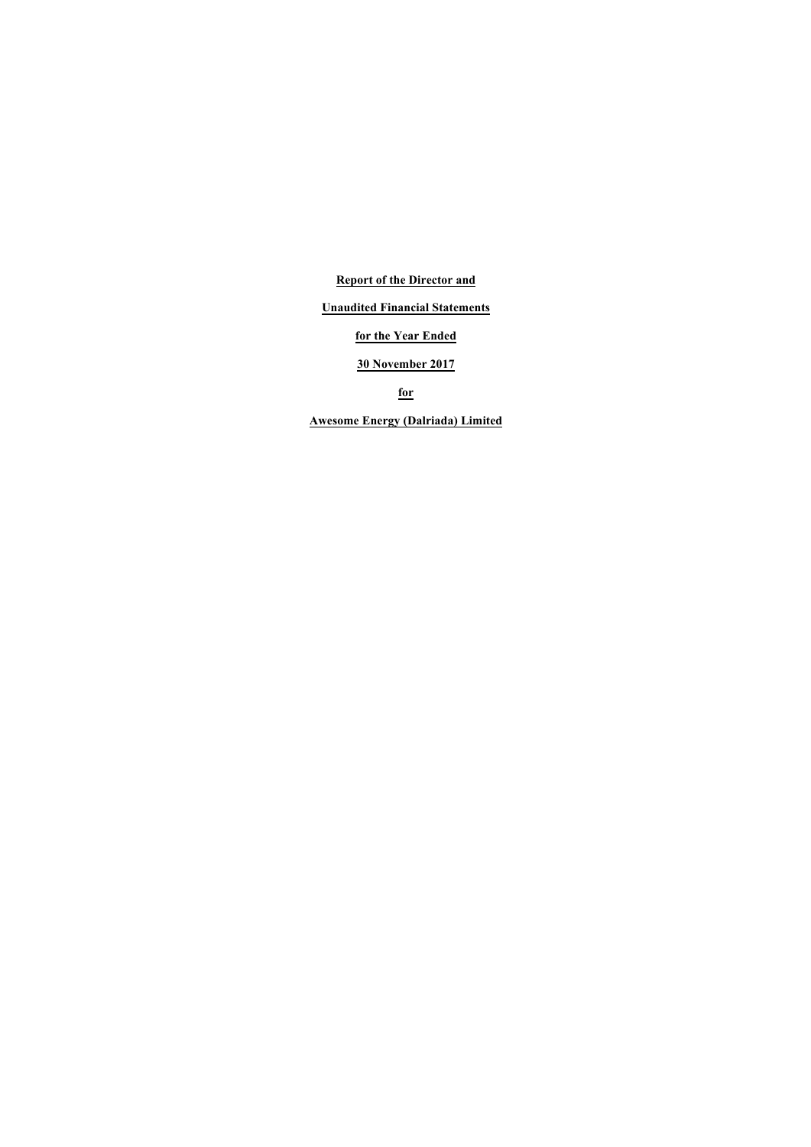**Report of the Director and**

# **Unaudited Financial Statements**

# **for the Year Ended**

# **30 November 2017**

**for**

**Awesome Energy (Dalriada) Limited**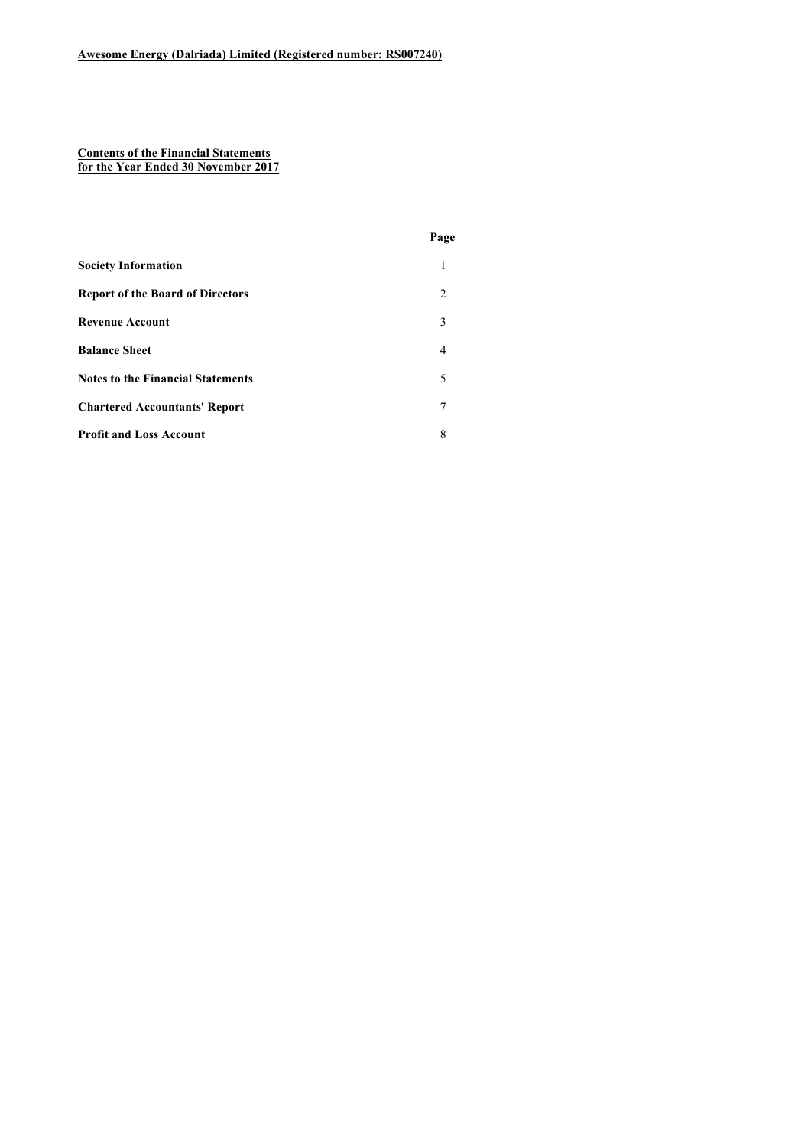#### **Contents of the Financial Statements for the Year Ended 30 November 2017**

|                                          | Page          |
|------------------------------------------|---------------|
| <b>Society Information</b>               | 1             |
| <b>Report of the Board of Directors</b>  | $\mathcal{L}$ |
| <b>Revenue Account</b>                   | 3             |
| <b>Balance Sheet</b>                     | 4             |
| <b>Notes to the Financial Statements</b> | 5             |
| <b>Chartered Accountants' Report</b>     |               |
| <b>Profit and Loss Account</b>           | 8             |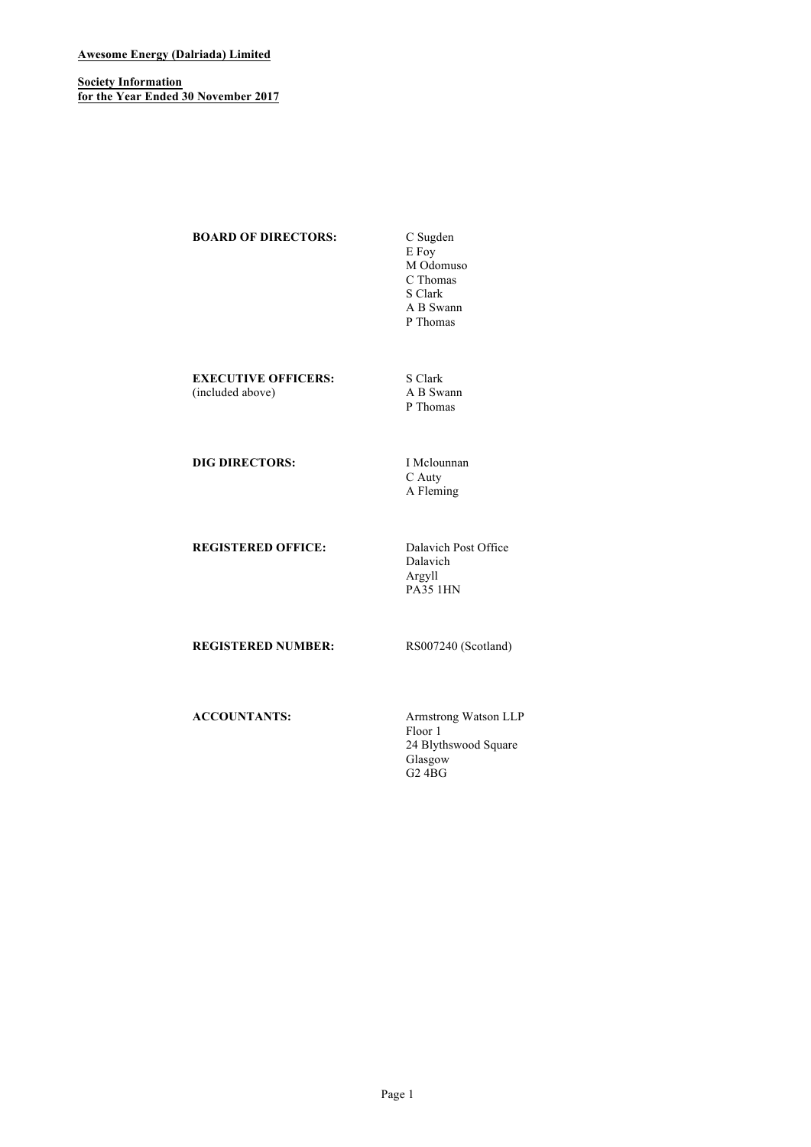# **Awesome Energy (Dalriada) Limited**

**Society Information for the Year Ended 30 November 2017**

**BOARD OF DIRECTORS:** C Sugden

E Foy M Odomuso C Thomas S Clark A B Swann P Thomas

**EXECUTIVE OFFICERS:** S Clark<br>(included above) A B Swann (included above)

P Thomas

**DIG DIRECTORS:** I Mclounnan

C Auty A Fleming

**REGISTERED OFFICE:** Dalavich Post Office

Dalavich Argyll PA35 1HN

**REGISTERED NUMBER:** RS007240 (Scotland)

**ACCOUNTANTS:** Armstrong Watson LLP Floor 1 24 Blythswood Square Glasgow G2 4BG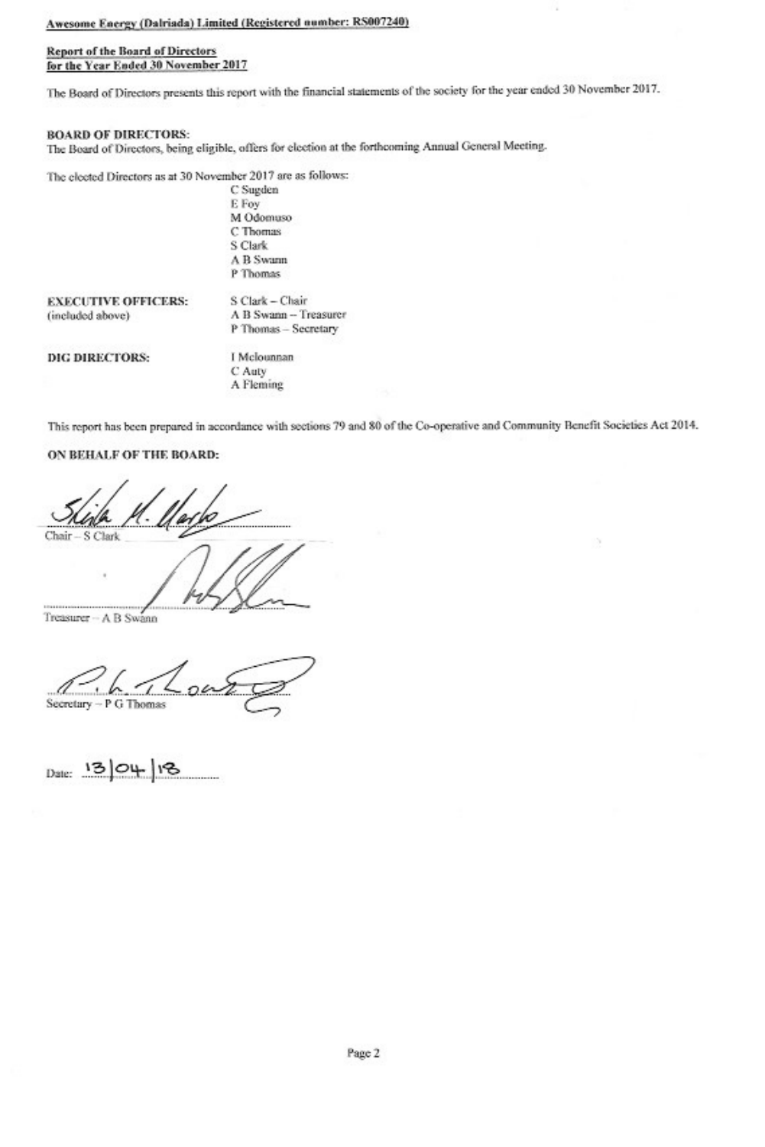# Awesome Energy (Dalriada) Limited (Registered number: RS007240)

## **Report of the Board of Directors** for the Year Ended 30 November 2017

The Board of Directors presents this report with the financial statements of the society for the year ended 30 November 2017.

# **BOARD OF DIRECTORS:**

The Board of Directors, being eligible, offers for election at the forthcoming Annual General Meeting.

The elected Directors as at 30 November 2017 are as follows:

| C Sugden  |  |
|-----------|--|
| E Fov     |  |
| M Odomuso |  |
| C Thomas  |  |
| S Clark   |  |
| A B Swamn |  |
| P Thomas  |  |
|           |  |

| <b>EXECUTIVE OFFICERS:</b> | S Clark - Chair       |
|----------------------------|-----------------------|
| (included above)           | A B Swann - Treasurer |
|                            | P Thomas - Secretary  |

DIG DIRECTORS:

I Mclounnan C Auty A Fleming

This report has been prepared in accordance with sections 79 and 80 of the Co-operative and Community Benefit Societies Act 2014.

# ON BEHALF OF THE BOARD:

Chair S Clark

Treasurer - A B Swann

Secretary - P G Thomas

Date: 13 04 18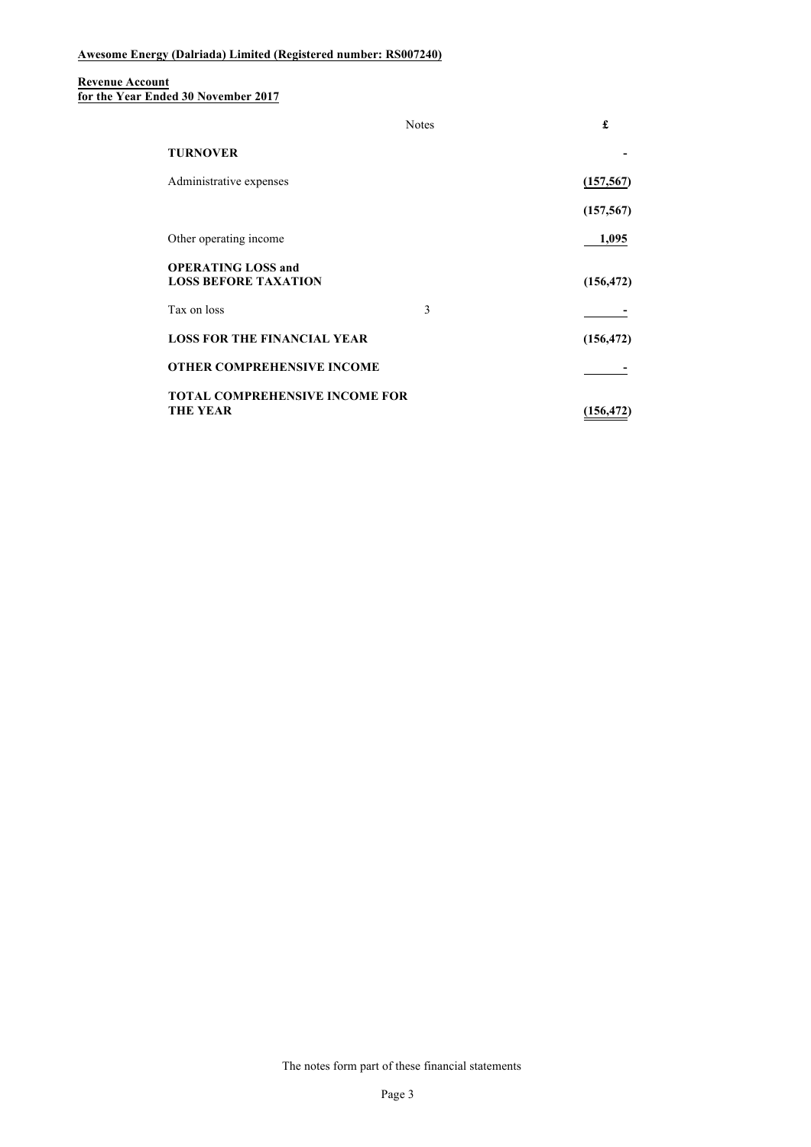#### **Revenue Account for the Year Ended 30 November 2017**

|                                                          | <b>Notes</b> | £          |
|----------------------------------------------------------|--------------|------------|
| <b>TURNOVER</b>                                          |              |            |
| Administrative expenses                                  |              | (157, 567) |
|                                                          |              | (157, 567) |
| Other operating income                                   |              | 1,095      |
| <b>OPERATING LOSS and</b><br><b>LOSS BEFORE TAXATION</b> |              | (156, 472) |
| Tax on loss                                              | 3            |            |
| <b>LOSS FOR THE FINANCIAL YEAR</b>                       |              | (156, 472) |
| <b>OTHER COMPREHENSIVE INCOME</b>                        |              |            |
| <b>TOTAL COMPREHENSIVE INCOME FOR</b><br><b>THE YEAR</b> |              | (156, 472) |

The notes form part of these financial statements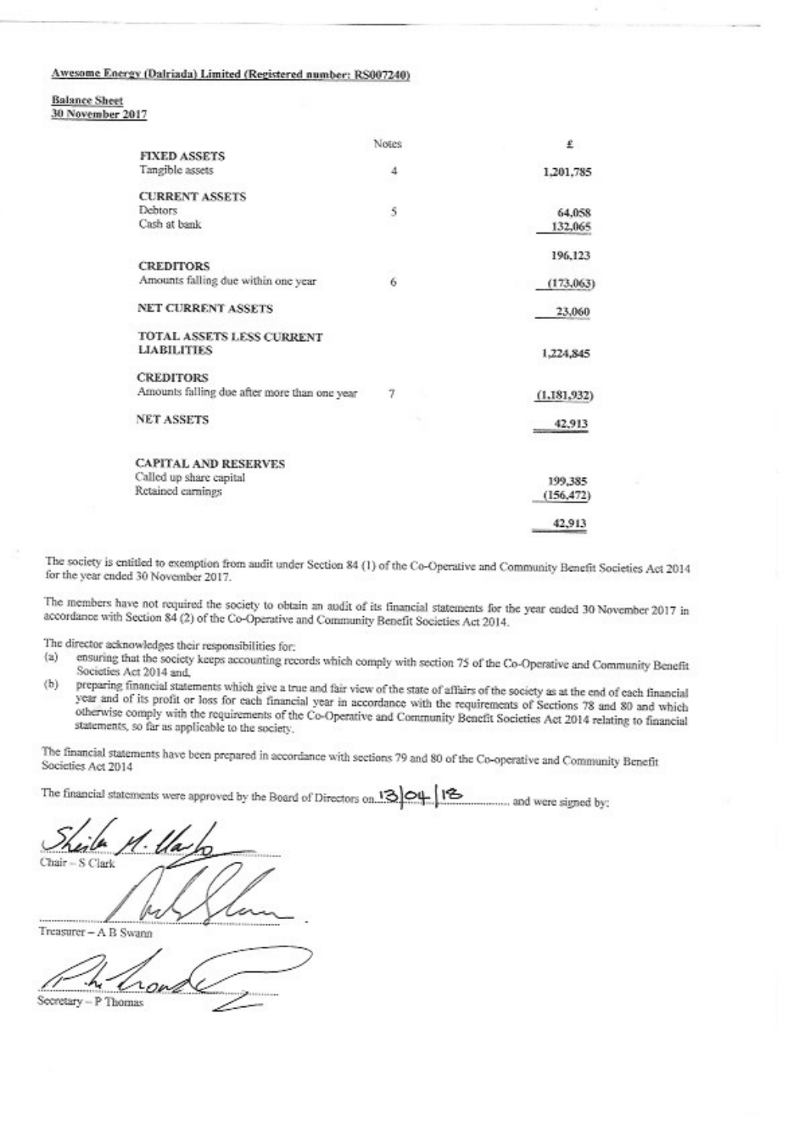# Awesome Energy (Dalriada) Limited (Registered number: RS007240)

**Balance Sheet** 30 November 2017

|                                              | Notes | £             |
|----------------------------------------------|-------|---------------|
| <b>FIXED ASSETS</b>                          |       |               |
| Tangible assets                              | 4     | 1,201,785     |
| <b>CURRENT ASSETS</b>                        |       |               |
| Debtors                                      | 5     | 64,058        |
| Cash at bank                                 |       | 132,065       |
|                                              |       | 196,123       |
| <b>CREDITORS</b>                             | ×     |               |
| Amounts falling due within one year          | 6     | (173,063)     |
| <b>NET CURRENT ASSETS</b>                    |       | 23,060        |
| TOTAL ASSETS LESS CURRENT                    |       |               |
| <b>LIABILITIES</b>                           |       | 1,224,845     |
| <b>CREDITORS</b>                             |       |               |
| Amounts falling due after more than one year | 7     | (1,181,932)   |
| <b>NET ASSETS</b>                            |       | 42,913        |
| <b>CAPITAL AND RESERVES</b>                  |       |               |
| Called up share capital                      |       | 199,385       |
| Retained carnings                            |       |               |
|                                              |       | (156, 472)    |
|                                              |       | 42,913<br>366 |

The society is entitled to exemption from audit under Section 84 (1) of the Co-Operative and Community Benefit Societies Act 2014 for the year ended 30 November 2017.

The members have not required the society to obtain an audit of its financial statements for the year ended 30 November 2017 in accordance with Section 84 (2) of the Co-Operative and Community Benefit Societies Act 2014.

The director acknowledges their responsibilities for:

- ensuring that the society keeps accounting records which comply with section 75 of the Co-Operative and Community Benefit  $(a)$ Societies Act 2014 and,
- preparing financial statements which give a true and fair view of the state of affairs of the society as at the end of each financial  $(b)$ year and of its profit or loss for each financial year in accordance with the requirements of Sections 78 and 80 and which otherwise comply with the requirements of the Co-Operative and Community Benefit Societies Act 2014 relating to financial statements, so far as applicable to the society.

The financial statements have been prepared in accordance with sections 79 and 80 of the Co-operative and Community Benefit Societies Act 2014

Chair - S Clark

Treasurer - A B Swann

Secretary - P Thomas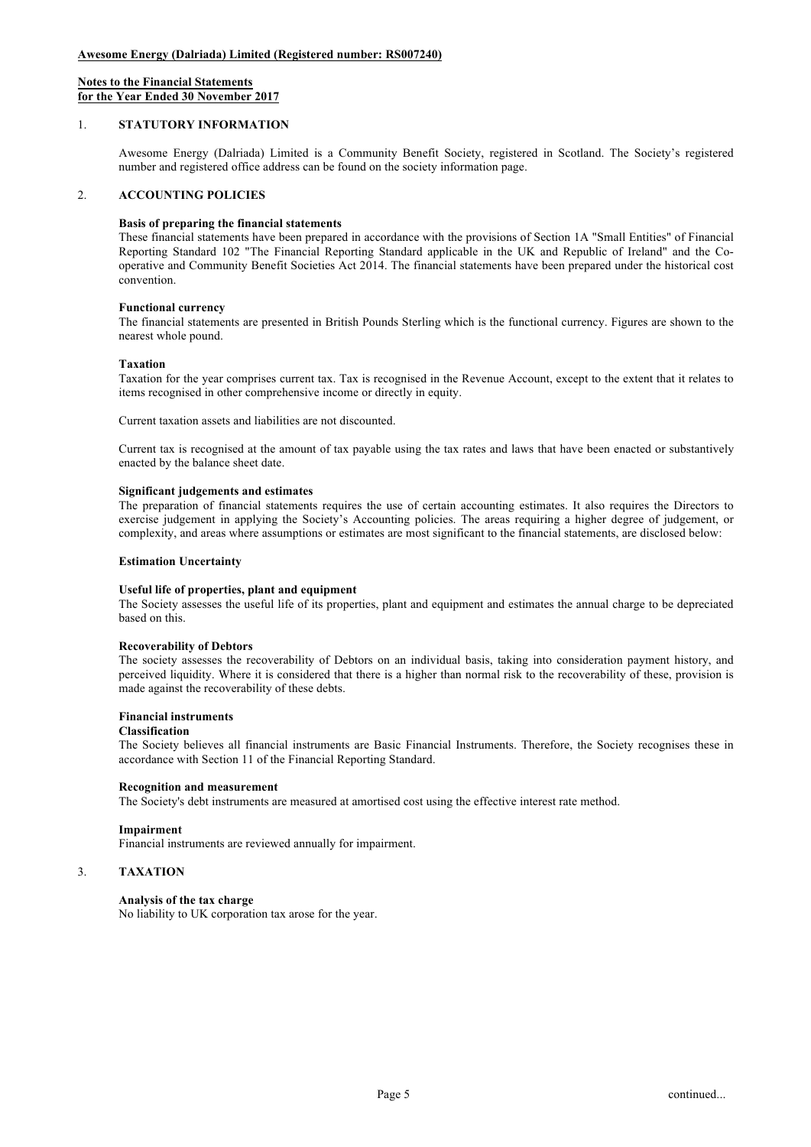## **Notes to the Financial Statements for the Year Ended 30 November 2017**

# 1. **STATUTORY INFORMATION**

Awesome Energy (Dalriada) Limited is a Community Benefit Society, registered in Scotland. The Society's registered number and registered office address can be found on the society information page.

# 2. **ACCOUNTING POLICIES**

## **Basis of preparing the financial statements**

These financial statements have been prepared in accordance with the provisions of Section 1A "Small Entities" of Financial Reporting Standard 102 "The Financial Reporting Standard applicable in the UK and Republic of Ireland" and the Cooperative and Community Benefit Societies Act 2014. The financial statements have been prepared under the historical cost convention.

### **Functional currency**

The financial statements are presented in British Pounds Sterling which is the functional currency. Figures are shown to the nearest whole pound.

### **Taxation**

Taxation for the year comprises current tax. Tax is recognised in the Revenue Account, except to the extent that it relates to items recognised in other comprehensive income or directly in equity.

Current taxation assets and liabilities are not discounted.

Current tax is recognised at the amount of tax payable using the tax rates and laws that have been enacted or substantively enacted by the balance sheet date.

## **Significant judgements and estimates**

The preparation of financial statements requires the use of certain accounting estimates. It also requires the Directors to exercise judgement in applying the Society's Accounting policies. The areas requiring a higher degree of judgement, or complexity, and areas where assumptions or estimates are most significant to the financial statements, are disclosed below:

### **Estimation Uncertainty**

## **Useful life of properties, plant and equipment**

The Society assesses the useful life of its properties, plant and equipment and estimates the annual charge to be depreciated based on this.

### **Recoverability of Debtors**

The society assesses the recoverability of Debtors on an individual basis, taking into consideration payment history, and perceived liquidity. Where it is considered that there is a higher than normal risk to the recoverability of these, provision is made against the recoverability of these debts.

## **Financial instruments**

# **Classification**

The Society believes all financial instruments are Basic Financial Instruments. Therefore, the Society recognises these in accordance with Section 11 of the Financial Reporting Standard.

### **Recognition and measurement**

The Society's debt instruments are measured at amortised cost using the effective interest rate method.

### **Impairment**

Financial instruments are reviewed annually for impairment.

# 3. **TAXATION**

## **Analysis of the tax charge**

No liability to UK corporation tax arose for the year.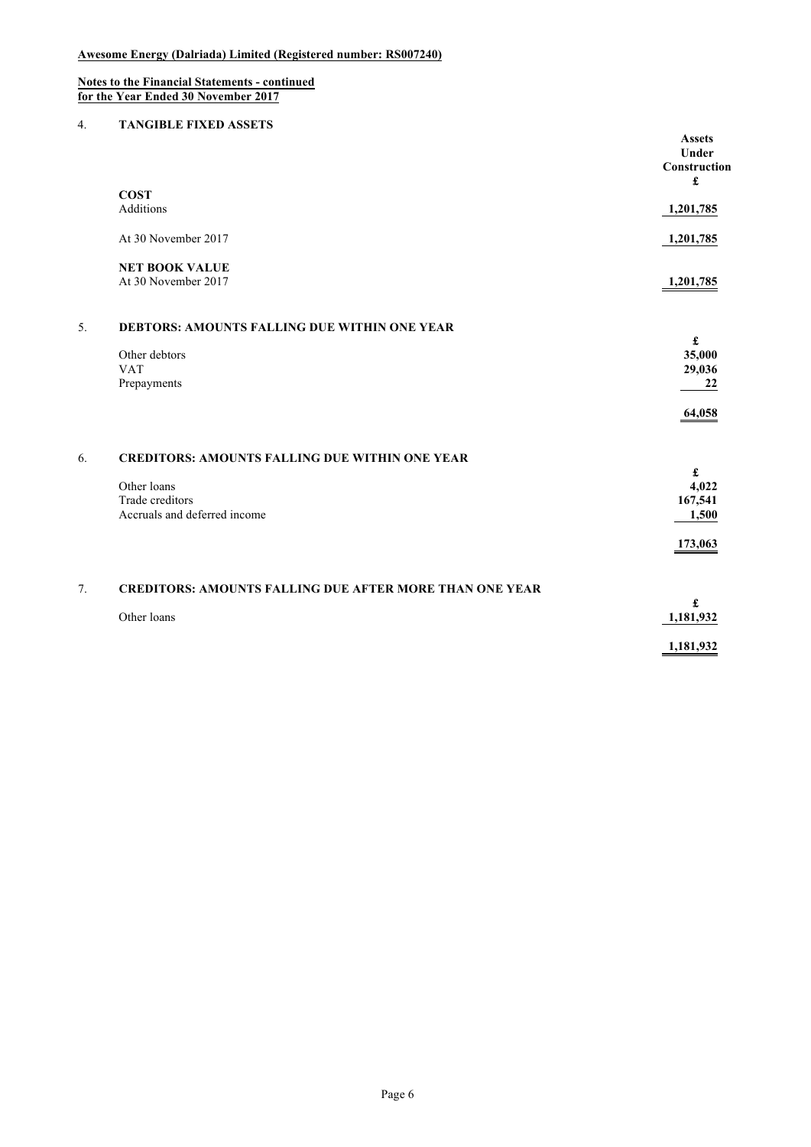### **Notes to the Financial Statements - continued for the Year Ended 30 November 2017**

# 4. **TANGIBLE FIXED ASSETS**

|    |                                                                | <b>Assets</b><br>Under<br>Construction<br>£ |
|----|----------------------------------------------------------------|---------------------------------------------|
|    | <b>COST</b>                                                    |                                             |
|    | Additions                                                      | 1,201,785                                   |
|    | At 30 November 2017                                            | 1,201,785                                   |
|    | <b>NET BOOK VALUE</b>                                          |                                             |
|    | At 30 November 2017                                            | 1,201,785                                   |
| 5. | <b>DEBTORS: AMOUNTS FALLING DUE WITHIN ONE YEAR</b>            |                                             |
|    |                                                                | $\pmb{\mathfrak{L}}$                        |
|    | Other debtors<br><b>VAT</b>                                    | 35,000<br>29,036                            |
|    | Prepayments                                                    | 22                                          |
|    |                                                                |                                             |
|    |                                                                | 64,058                                      |
| 6. | <b>CREDITORS: AMOUNTS FALLING DUE WITHIN ONE YEAR</b>          |                                             |
|    |                                                                | $\pmb{\mathfrak{L}}$                        |
|    | Other loans                                                    | 4,022                                       |
|    | Trade creditors<br>Accruals and deferred income                | 167,541<br>1,500                            |
|    |                                                                |                                             |
|    |                                                                | 173,063                                     |
| 7. | <b>CREDITORS: AMOUNTS FALLING DUE AFTER MORE THAN ONE YEAR</b> |                                             |
|    |                                                                | £                                           |
|    | Other loans                                                    | 1,181,932                                   |
|    |                                                                | 1,181,932                                   |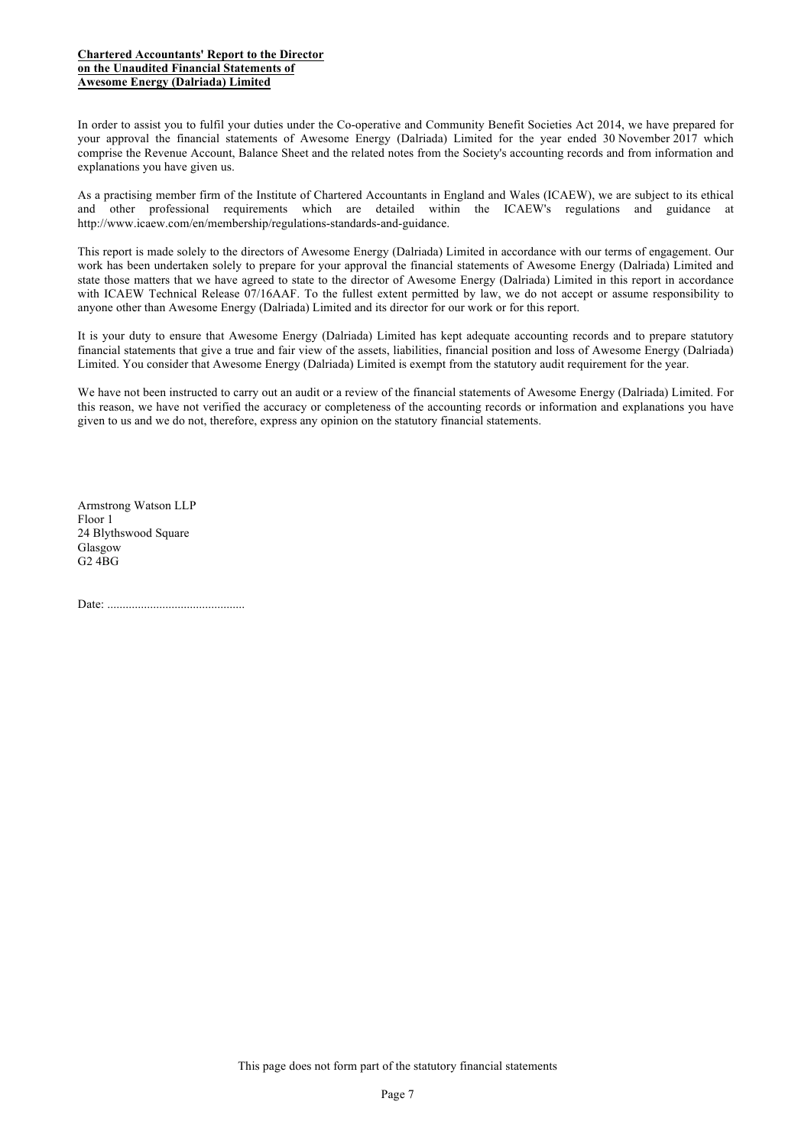# **Chartered Accountants' Report to the Director on the Unaudited Financial Statements of Awesome Energy (Dalriada) Limited**

In order to assist you to fulfil your duties under the Co-operative and Community Benefit Societies Act 2014, we have prepared for your approval the financial statements of Awesome Energy (Dalriada) Limited for the year ended 30 November 2017 which comprise the Revenue Account, Balance Sheet and the related notes from the Society's accounting records and from information and explanations you have given us.

As a practising member firm of the Institute of Chartered Accountants in England and Wales (ICAEW), we are subject to its ethical and other professional requirements which are detailed within the ICAEW's regulations and guidance at http://www.icaew.com/en/membership/regulations-standards-and-guidance.

This report is made solely to the directors of Awesome Energy (Dalriada) Limited in accordance with our terms of engagement. Our work has been undertaken solely to prepare for your approval the financial statements of Awesome Energy (Dalriada) Limited and state those matters that we have agreed to state to the director of Awesome Energy (Dalriada) Limited in this report in accordance with ICAEW Technical Release 07/16AAF. To the fullest extent permitted by law, we do not accept or assume responsibility to anyone other than Awesome Energy (Dalriada) Limited and its director for our work or for this report.

It is your duty to ensure that Awesome Energy (Dalriada) Limited has kept adequate accounting records and to prepare statutory financial statements that give a true and fair view of the assets, liabilities, financial position and loss of Awesome Energy (Dalriada) Limited. You consider that Awesome Energy (Dalriada) Limited is exempt from the statutory audit requirement for the year.

We have not been instructed to carry out an audit or a review of the financial statements of Awesome Energy (Dalriada) Limited. For this reason, we have not verified the accuracy or completeness of the accounting records or information and explanations you have given to us and we do not, therefore, express any opinion on the statutory financial statements.

Armstrong Watson LLP Floor 1 24 Blythswood Square Glasgow G2 4BG

Date: .............................................